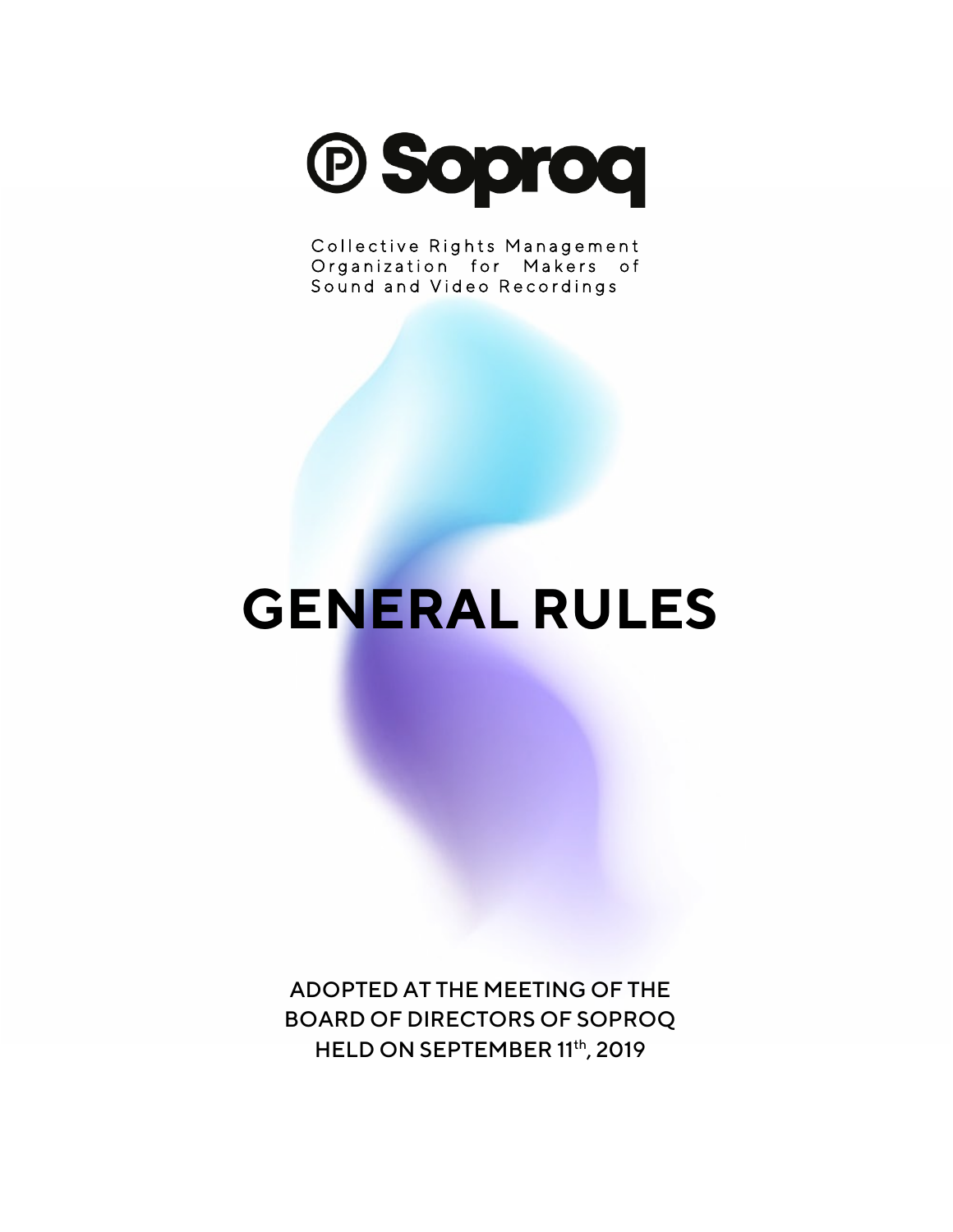

Collective Rights Management Organization for Makers of Sound and Video Recordings

# **GENERAL RULES**

ADOPTED AT THE MEETING OF THE BOARD OF DIRECTORS OF SOPROQ HELD ON SEPTEMBER 11th, 2019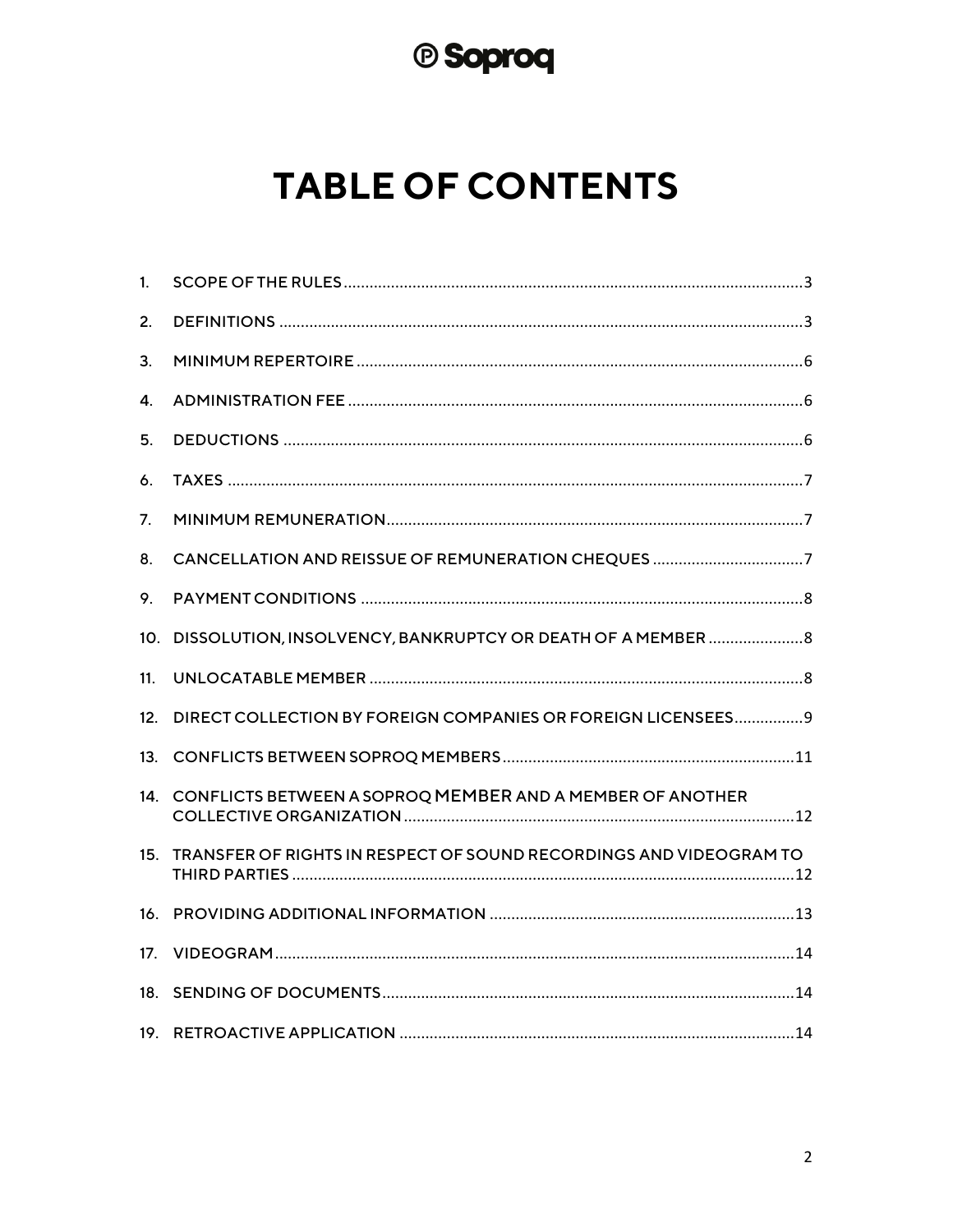# <sup>®</sup> Soproq

# **TABLE OF CONTENTS**

| 1.              |                                                                    |
|-----------------|--------------------------------------------------------------------|
| 2.              |                                                                    |
| 3.              |                                                                    |
| 4.              |                                                                    |
| 5.              |                                                                    |
| 6.              |                                                                    |
| 7.              |                                                                    |
| 8.              | CANCELLATION AND REISSUE OF REMUNERATION CHEQUES 7                 |
| 9.              |                                                                    |
| 10.             | DISSOLUTION, INSOLVENCY, BANKRUPTCY OR DEATH OF A MEMBER  8        |
| 11 <sub>1</sub> |                                                                    |
| 12.             | DIRECT COLLECTION BY FOREIGN COMPANIES OR FOREIGN LICENSEES9       |
| 13.             |                                                                    |
|                 | 14. CONFLICTS BETWEEN A SOPROQ MEMBER AND A MEMBER OF ANOTHER      |
| 15.             | TRANSFER OF RIGHTS IN RESPECT OF SOUND RECORDINGS AND VIDEOGRAM TO |
| 16.             |                                                                    |
| 17.             |                                                                    |
| 18.             |                                                                    |
|                 |                                                                    |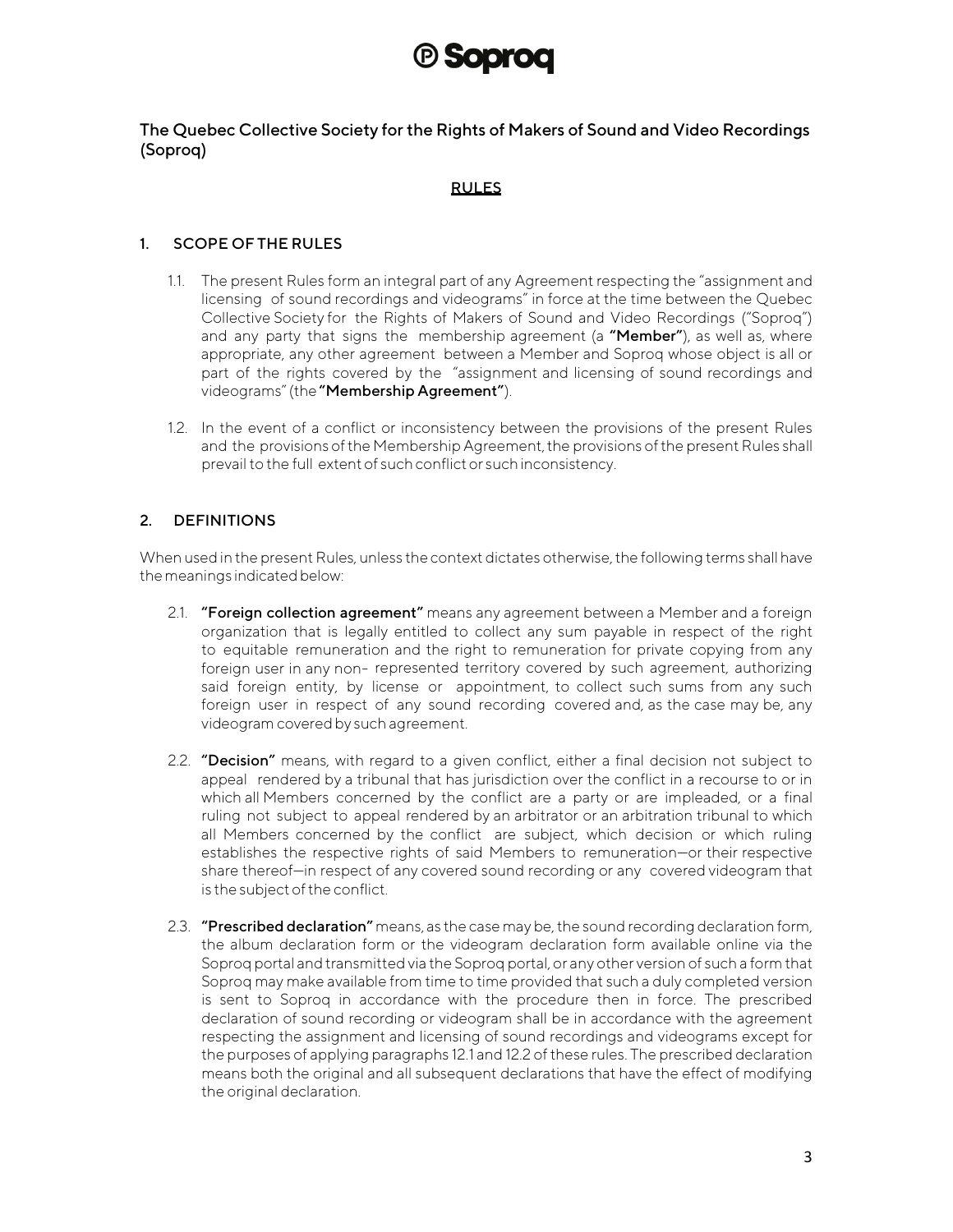## **(B) SODTOO**

The Quebec Collective Society for the Rights of Makers of Sound and Video Recordings (Soproq)

#### RULES

#### <span id="page-2-0"></span>1. SCOPE OF THE RULES

- 1.1. The present Rules form an integral part of any Agreement respecting the "assignment and licensing of sound recordings and videograms" in force at the time between the Quebec Collective Society for the Rights of Makers of Sound and Video Recordings ("Soproq") and any party that signs the membership agreement (a "Member"), as well as, where appropriate, any other agreement between a Member and Soproq whose object is all or part of the rights covered by the "assignment and licensing of sound recordings and videograms"(the"Membership Agreement").
- 1.2. In the event of a conflict or inconsistency between the provisions of the present Rules and the provisions of the Membership Agreement, the provisions of the present Rules shall prevail to the full extent of such conflict or such inconsistency.

#### <span id="page-2-1"></span>2. DEFINITIONS

When used in the present Rules, unless the context dictates otherwise, the following terms shall have the meanings indicated below:

- 2.1. "Foreign collection agreement" means any agreement between a Member and a foreign organization that is legally entitled to collect any sum payable in respect of the right to equitable remuneration and the right to remuneration for private copying from any foreign user in any non- represented territory covered by such agreement, authorizing said foreign entity, by license or appointment, to collect such sums from any such foreign user in respect of any sound recording covered and, as the case may be, any videogram covered by such agreement.
- 2.2. "Decision" means, with regard to a given conflict, either a final decision not subject to appeal rendered by a tribunal that has jurisdiction over the conflict in a recourse to or in which all Members concerned by the conflict are a party or are impleaded, or a final ruling not subject to appeal rendered by an arbitrator or an arbitration tribunal to which all Members concerned by the conflict are subject, which decision or which ruling establishes the respective rights of said Members to remuneration—or their respective share thereof—in respect of any covered sound recording or any covered videogram that is the subject of the conflict.
- 2.3. "Prescribed declaration" means, as the case may be, the sound recording declaration form, the album declaration form or the videogram declaration form available online via the Soproq portal and transmitted via the Soproq portal, or any other version of such a form that Soproq may make available from time to time provided that such a duly completed version is sent to Soproq in accordance with the procedure then in force. The prescribed declaration of sound recording or videogram shall be in accordance with the agreement respecting the assignment and licensing of sound recordings and videograms except for the purposes of applying paragraphs 12.1 and 12.2 of these rules. The prescribed declaration means both the original and all subsequent declarations that have the effect of modifying the original declaration.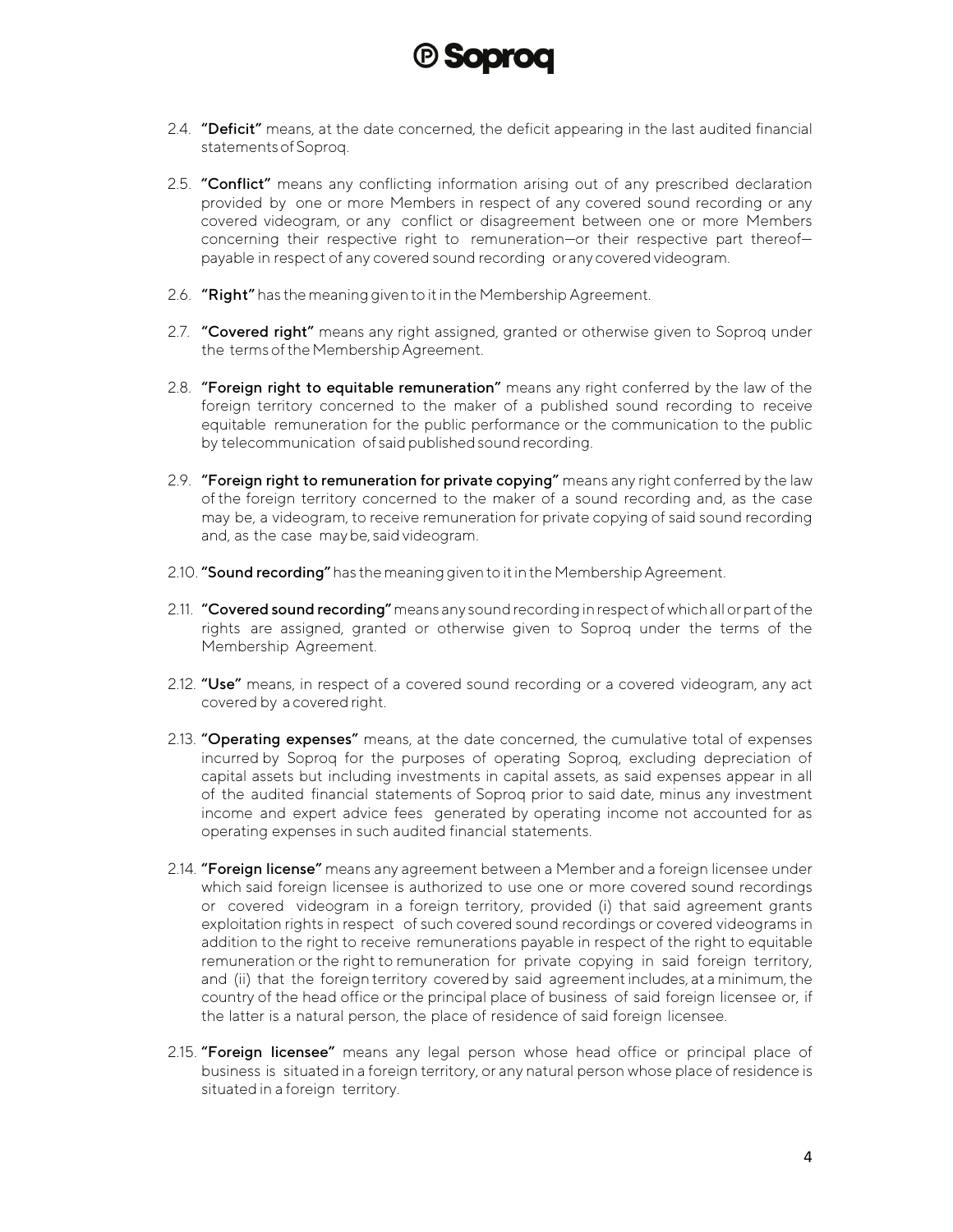

- 2.4. "Deficit" means, at the date concerned, the deficit appearing in the last audited financial statementsofSoproq.
- 2.5. "Conflict" means any conflicting information arising out of any prescribed declaration provided by one or more Members in respect of any covered sound recording or any covered videogram, or any conflict or disagreement between one or more Members concerning their respective right to remuneration—or their respective part thereof payable in respect of any covered sound recording or any covered videogram.
- 2.6. "Right" has the meaning given to it in the Membership Agreement.
- 2.7. "Covered right" means any right assigned, granted or otherwise given to Soproq under the terms of the Membership Agreement.
- 2.8. "Foreign right to equitable remuneration" means any right conferred by the law of the foreign territory concerned to the maker of a published sound recording to receive equitable remuneration for the public performance or the communication to the public by telecommunication of said published sound recording.
- 2.9. "Foreign right to remuneration for private copying" means any right conferred by the law of the foreign territory concerned to the maker of a sound recording and, as the case may be, a videogram, to receive remuneration for private copying of said sound recording and, as the case maybe, said videogram.
- 2.10. "Sound recording" has the meaning given to it in the Membership Agreement.
- 2.11. "Covered sound recording" means any sound recording in respect of which all or part of the rights are assigned, granted or otherwise given to Soproq under the terms of the Membership Agreement.
- 2.12. "Use" means, in respect of a covered sound recording or a covered videogram, any act covered by a covered right.
- 2.13. "Operating expenses" means, at the date concerned, the cumulative total of expenses incurred by Soproq for the purposes of operating Soproq, excluding depreciation of capital assets but including investments in capital assets, as said expenses appear in all of the audited financial statements of Soproq prior to said date, minus any investment income and expert advice fees generated by operating income not accounted for as operating expenses in such audited financial statements.
- 2.14. "Foreign license" means any agreement between a Member and a foreign licensee under which said foreign licensee is authorized to use one or more covered sound recordings or covered videogram in a foreign territory, provided (i) that said agreement grants exploitation rights in respect of such covered sound recordings or covered videograms in addition to the right to receive remunerations payable in respect of the right to equitable remuneration or the right to remuneration for private copying in said foreign territory, and (ii) that the foreign territory covered by said agreementincludes, at a minimum, the country of the head office or the principal place of business of said foreign licensee or, if the latter is a natural person, the place of residence of said foreign licensee.
- 2.15. "Foreign licensee" means any legal person whose head office or principal place of business is situated in a foreign territory, or any natural person whose place of residence is situated in a foreign territory.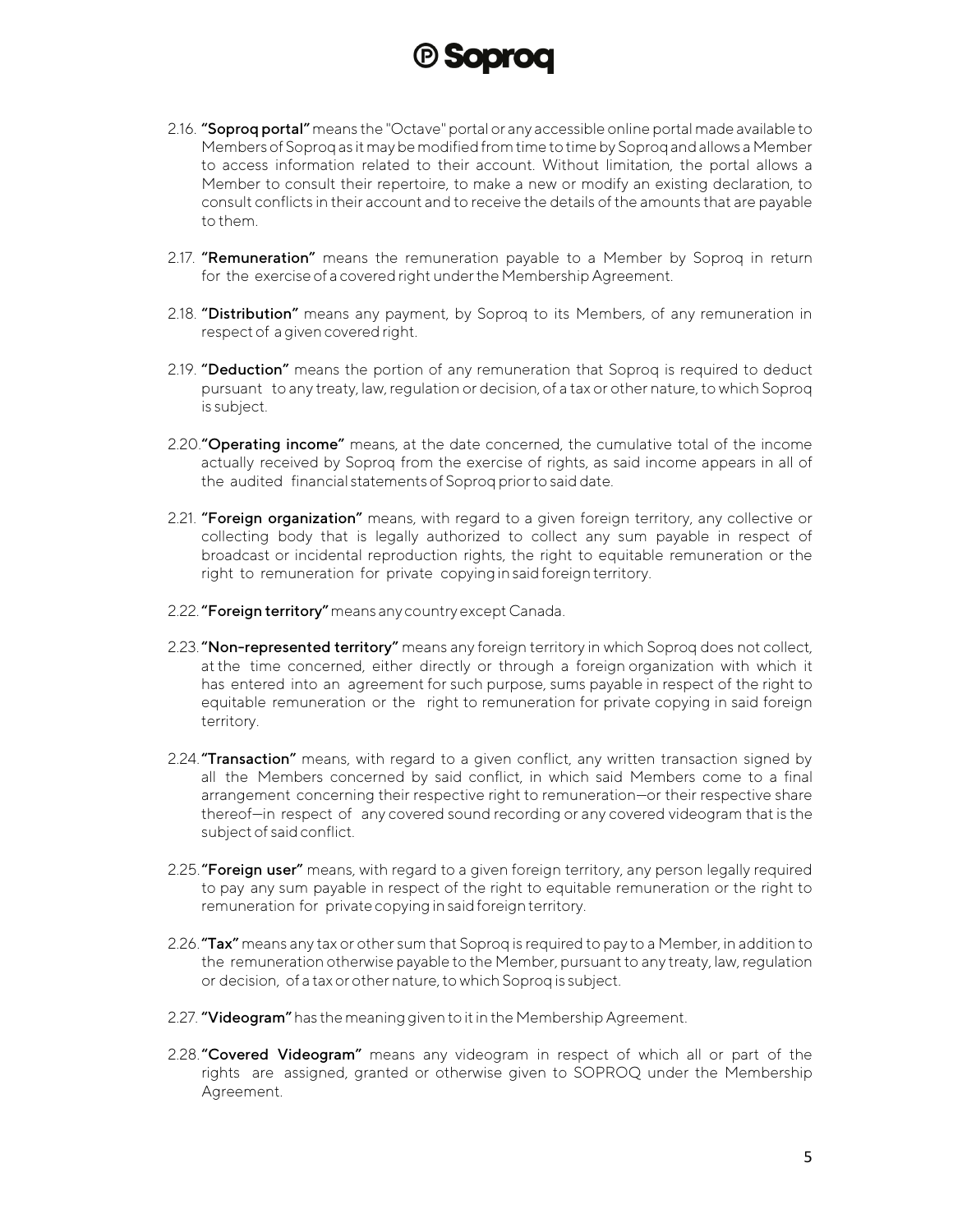

- 2.16. "Soproq portal" means the "Octave" portal or any accessible online portal made available to Members of Soproqas it may be modifiedfrom time to time by Soproq and allows a Member to access information related to their account. Without limitation, the portal allows a Member to consult their repertoire, to make a new or modify an existing declaration, to consult conflicts in their account and to receive the details of the amounts that are payable to them.
- 2.17. "Remuneration" means the remuneration payable to a Member by Soproq in return for the exercise of a covered right under the Membership Agreement.
- 2.18. "Distribution" means any payment, by Soproq to its Members, of any remuneration in respect of a given covered right.
- 2.19. "Deduction" means the portion of any remuneration that Soproq is required to deduct pursuant to any treaty, law,regulation or decision, of a tax or other nature, to which Soproq is subject.
- 2.20." Operating income" means, at the date concerned, the cumulative total of the income actually received by Soproq from the exercise of rights, as said income appears in all of the audited financial statements of Soproq priorto said date.
- 2.21. "Foreign organization" means, with regard to a given foreign territory, any collective or collecting body that is legally authorized to collect any sum payable in respect of broadcast or incidental reproduction rights, the right to equitable remuneration or the right to remuneration for private copying in said foreign territory.
- 2.22. "Foreign territory" means any country except Canada.
- 2.23. "Non-represented territory" means any foreign territory in which Soproq does not collect, at the time concerned, either directly or through a foreign organization with which it has entered into an agreement for such purpose, sums payable in respect of the right to equitable remuneration or the right to remuneration for private copying in said foreign territory.
- 2.24. "Transaction" means, with regard to a given conflict, any written transaction signed by all the Members concerned by said conflict, in which said Members come to a final arrangement concerning their respective right to remuneration—or their respective share thereof—in respect of any covered sound recording or any covered videogram that is the subject of said conflict.
- 2.25. "Foreign user" means, with regard to a given foreign territory, any person legally required to pay any sum payable in respect of the right to equitable remuneration or the right to remuneration for private copying in said foreign territory.
- 2.26. "Tax" means any tax or other sum that Soproq is required to pay to a Member, in addition to the remuneration otherwise payable to the Member, pursuant to any treaty, law, regulation or decision, of a tax or other nature, to which Soproq is subject.
- 2.27. "Videogram" has the meaning given to it in the Membership Agreement.
- 2.28."Covered Videogram" means any videogram in respect of which all or part of the rights are assigned, granted or otherwise given to SOPROQ under the Membership Agreement.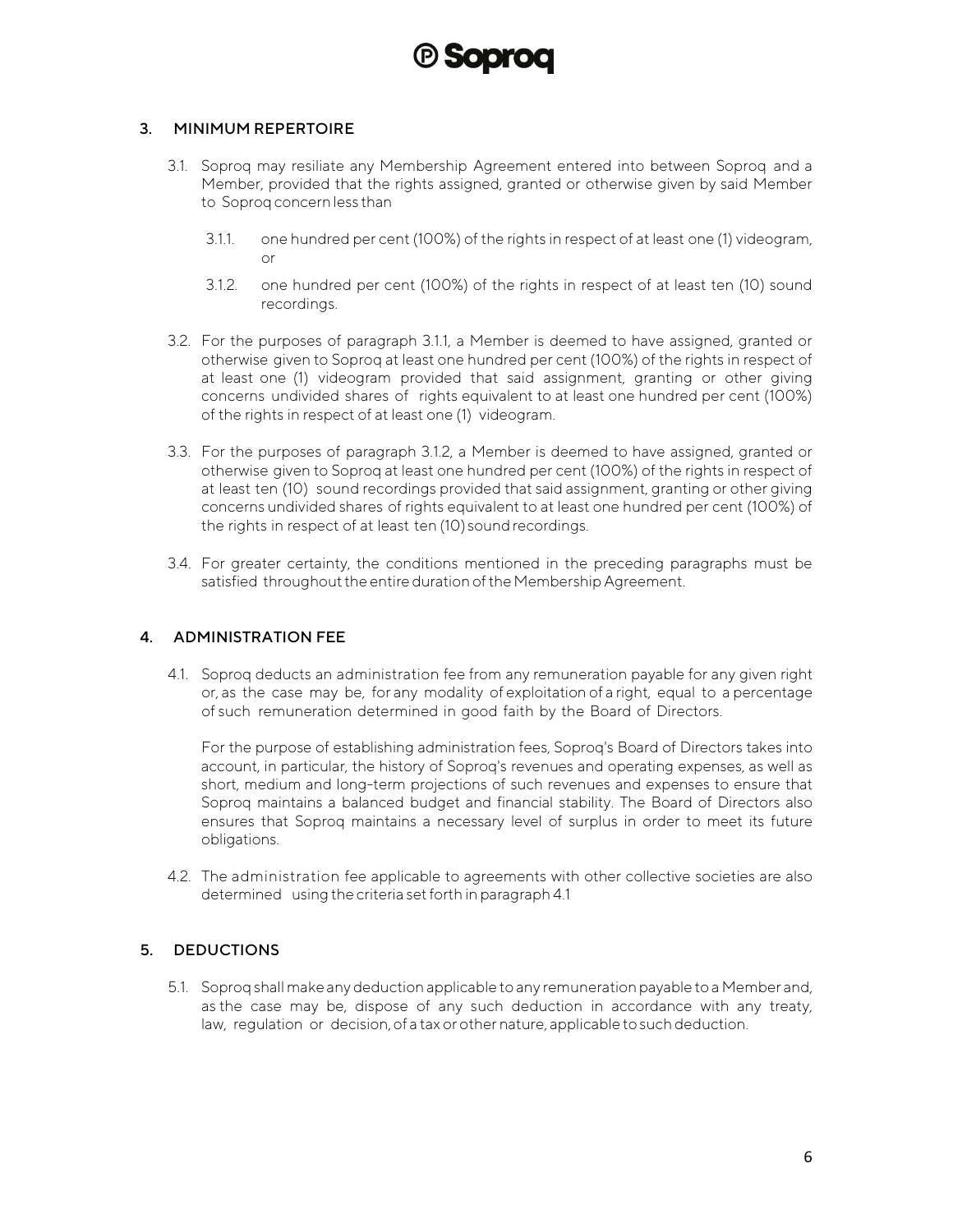### (P) **Sobro**

#### <span id="page-5-0"></span>3. MINIMUM REPERTOIRE

- 3.1. Soproq may resiliate any Membership Agreement entered into between Soproq and a Member, provided that the rights assigned, granted or otherwise given by said Member to Soprog concern less than
	- 3.1.1. one hundred per cent (100%) of the rights in respect of at least one (1) videogram, or
	- 3.1.2. one hundred per cent (100%) of the rights in respect of at least ten (10) sound recordings.
- 3.2. For the purposes of paragraph 3.1.1, a Member is deemed to have assigned, granted or otherwise given to Soproq at least one hundred per cent (100%) of the rights in respect of at least one (1) videogram provided that said assignment, granting or other giving concerns undivided shares of rights equivalent to at least one hundred per cent (100%) of the rights in respect of at least one (1) videogram.
- 3.3. For the purposes of paragraph 3.1.2, a Member is deemed to have assigned, granted or otherwise given to Soproq at least one hundred per cent (100%) of the rights in respect of at least ten (10) sound recordings provided that said assignment, granting or other giving concerns undivided shares of rights equivalent to at least one hundred per cent (100%) of the rights in respect of at least ten (10) sound recordings.
- 3.4. For greater certainty, the conditions mentioned in the preceding paragraphs must be satisfied throughout the entire duration of the Membership Agreement.

#### <span id="page-5-1"></span>4. ADMINISTRATION FEE

4.1. Soproq deducts an administration fee from any remuneration payable for any given right or, as the case may be, for any modality of exploitation of a right, equal to a percentage of such remuneration determined in good faith by the Board of Directors.

For the purpose of establishing administration fees, Soproq's Board of Directors takes into account, in particular, the history of Soproq's revenues and operating expenses, as well as short, medium and long-term projections of such revenues and expenses to ensure that Soproq maintains a balanced budget and financial stability. The Board of Directors also ensures that Soproq maintains a necessary level of surplus in order to meet its future obligations.

4.2. The administration fee applicable to agreements with other collective societies are also determined using the criteria setforth in paragraph 4.1

#### <span id="page-5-2"></span>5. DEDUCTIONS

5.1. Soproq shall make anydeduction applicable to any remunerationpayable to a Member and, as the case may be, dispose of any such deduction in accordance with any treaty, law, regulation or decision, of a tax or other nature, applicable to such deduction.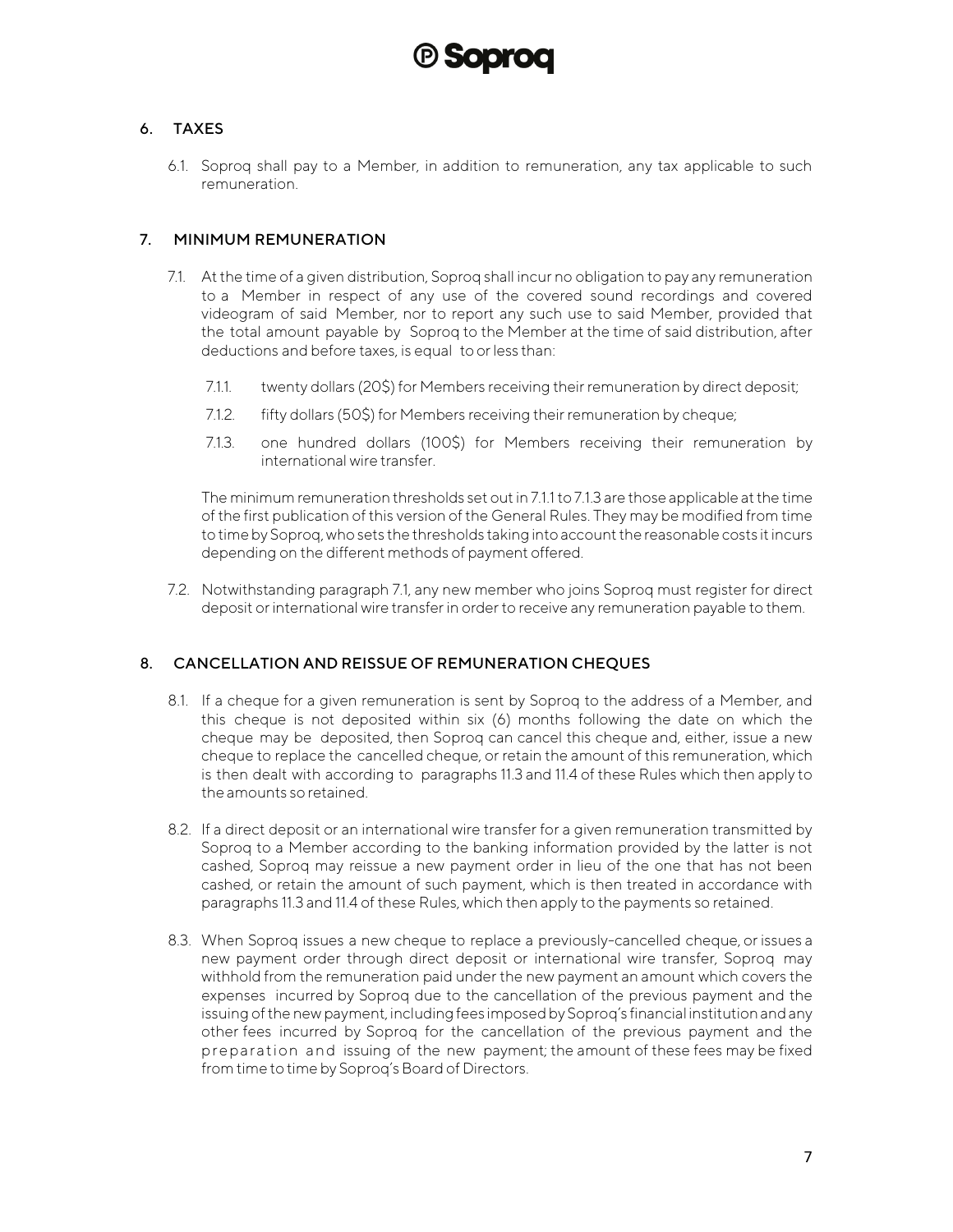#### <span id="page-6-0"></span>6. TAXES

6.1. Soproq shall pay to a Member, in addition to remuneration, any tax applicable to such remuneration.

#### <span id="page-6-1"></span>7. MINIMUM REMUNERATION

- 7.1. Atthe time of a given distribution, Soproq shall incur no obligation to pay any remuneration to a Member in respect of any use of the covered sound recordings and covered videogram of said Member, nor to report any such use to said Member, provided that the total amount payable by Soproq to the Member at the time of said distribution, after deductions and before taxes, is equal toorless than:
	- 7.1.1. twenty dollars (20\$) for Members receiving their remuneration by direct deposit;
	- 7.1.2. fifty dollars (50\$) for Members receiving their remuneration by cheque;
	- 7.1.3. one hundred dollars (100\$) for Members receiving their remuneration by international wire transfer.

The minimum remuneration thresholds set out in 7.1.1 to 7.1.3 are those applicable at the time of the first publication of this version of the General Rules. They may be modified from time to time by Soproq, who sets the thresholds taking into account the reasonable costs it incurs depending on the different methods of payment offered.

7.2. Notwithstanding paragraph 7.1, any new member who joins Soproq must register for direct deposit or international wire transfer in order to receive any remuneration payable to them.

#### <span id="page-6-2"></span>8. CANCELLATION AND REISSUE OF REMUNERATION CHEQUES

- 8.1. If a cheque for a given remuneration is sent by Soproq to the address of a Member, and this cheque is not deposited within six (6) months following the date on which the cheque may be deposited, then Soproq can cancel this cheque and, either, issue a new cheque to replace the cancelled cheque, or retain the amount of this remuneration, which is then dealt with according to paragraphs 11.3 and 11.4 of these Rules which then apply to the amounts so retained.
- 8.2. If a direct deposit or an international wire transfer for a given remuneration transmitted by Soproq to a Member according to the banking information provided by the latter is not cashed, Soproq may reissue a new payment order in lieu of the one that has not been cashed, or retain the amount of such payment, which is then treated in accordance with paragraphs 11.3 and 11.4 of these Rules, which then apply to the payments so retained.
- 8.3. When Soproq issues a new cheque to replace a previously-cancelled cheque, or issues a new payment order through direct deposit or international wire transfer, Soproq may withhold from the remuneration paid under the new payment an amount which covers the expenses incurred by Soproq due to the cancellation of the previous payment and the issuing of the new payment, including fees imposed by Soprog's financial institution and any other fees incurred by Soproq for the cancellation of the previous payment and the preparation and issuing of the new payment; the amount of these fees may be fixed from time to time by Soproq's Board of Directors.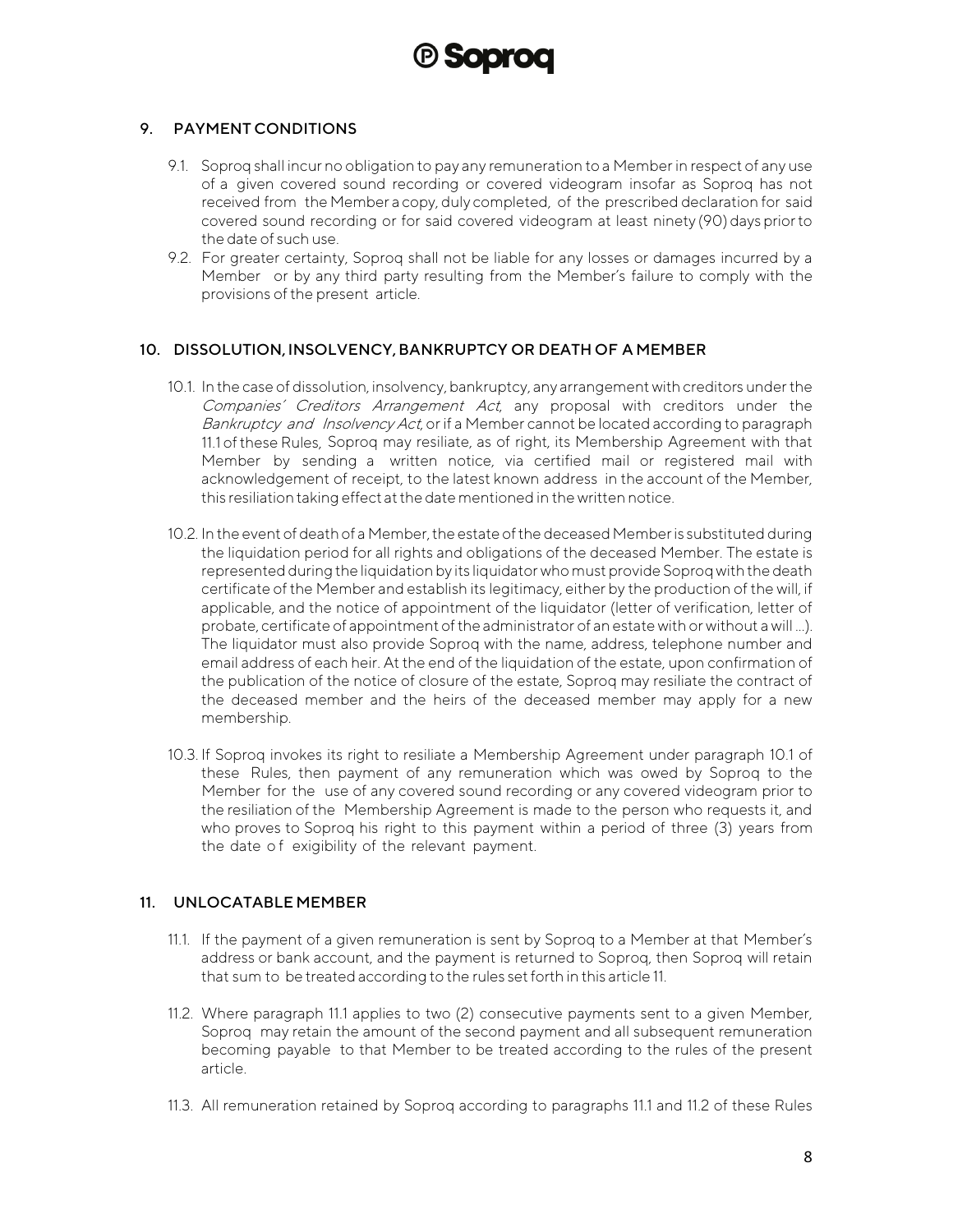

#### <span id="page-7-0"></span>9. PAYMENT CONDITIONS

- 9.1. Soproq shall incur no obligation to pay any remuneration to a Member in respect of any use of a given covered sound recording or covered videogram insofar as Soproq has not received from the Member a copy, duly completed, of the prescribed declaration for said covered sound recording or for said covered videogram at least ninety (90) dayspriorto the date of such use.
- 9.2. For greater certainty, Soproq shall not be liable for any losses or damages incurred by a Member or by any third party resulting from the Member's failure to comply with the provisions of the present article.

#### <span id="page-7-1"></span>10. DISSOLUTION,INSOLVENCY,BANKRUPTCY OR DEATH OF A MEMBER

- 10.1. In the case of dissolution, insolvency, bankruptcy, any arrangement with creditors underthe Companies' Creditors Arrangement Act, any proposal with creditors under the Bankruptcy and Insolvency Act, or if a Member cannot be located according to paragraph 11.1 ofthese Rules, Soproq may resiliate, as of right, its Membership Agreement with that Member by sending a written notice, via certified mail or registered mail with acknowledgement of receipt, to the latest known address in the account of the Member, this resiliation taking effect atthe date mentioned in the written notice.
- 10.2. In the event of death of a Member, the estate of the deceased Member is substituted during the liquidation period for all rights and obligations of the deceased Member. The estate is represented during the liquidation by its liquidator who must provide Soproq with the death certificate of the Member and establish its legitimacy, either by the production of the will, if applicable, and the notice of appointment of the liquidator (letter of verification, letter of probate, certificate of appointment of the administrator of an estate with or without a will ...). The liquidator must also provide Soproq with the name, address, telephone number and email address of each heir. At the end of the liquidation of the estate, upon confirmation of the publication of the notice of closure of the estate, Soproq may resiliate the contract of the deceased member and the heirs of the deceased member may apply for a new membership.
- 10.3. If Soproq invokes its right to resiliate a Membership Agreement under paragraph 10.1 of these Rules, then payment of any remuneration which was owed by Soproq to the Member for the use of any covered sound recording or any covered videogram prior to the resiliation of the Membership Agreement is made to the person who requests it, and who proves to Soproq his right to this payment within a period of three (3) years from the date of exigibility of the relevant payment.

#### <span id="page-7-2"></span>11. UNLOCATABLE MEMBER

- 11.1. If the payment of a given remuneration is sent by Soproq to a Member at that Member's address or bank account, and the payment is returned to Soproq, then Soproq will retain that sum to be treated according to the rules setforth in this article 11.
- 11.2. Where paragraph 11.1 applies to two (2) consecutive payments sent to a given Member, Soproq may retain the amount of the second payment and all subsequent remuneration becoming payable to that Member to be treated according to the rules of the present article.
- 11.3. All remuneration retained by Soproq according to paragraphs 11.1 and 11.2 of these Rules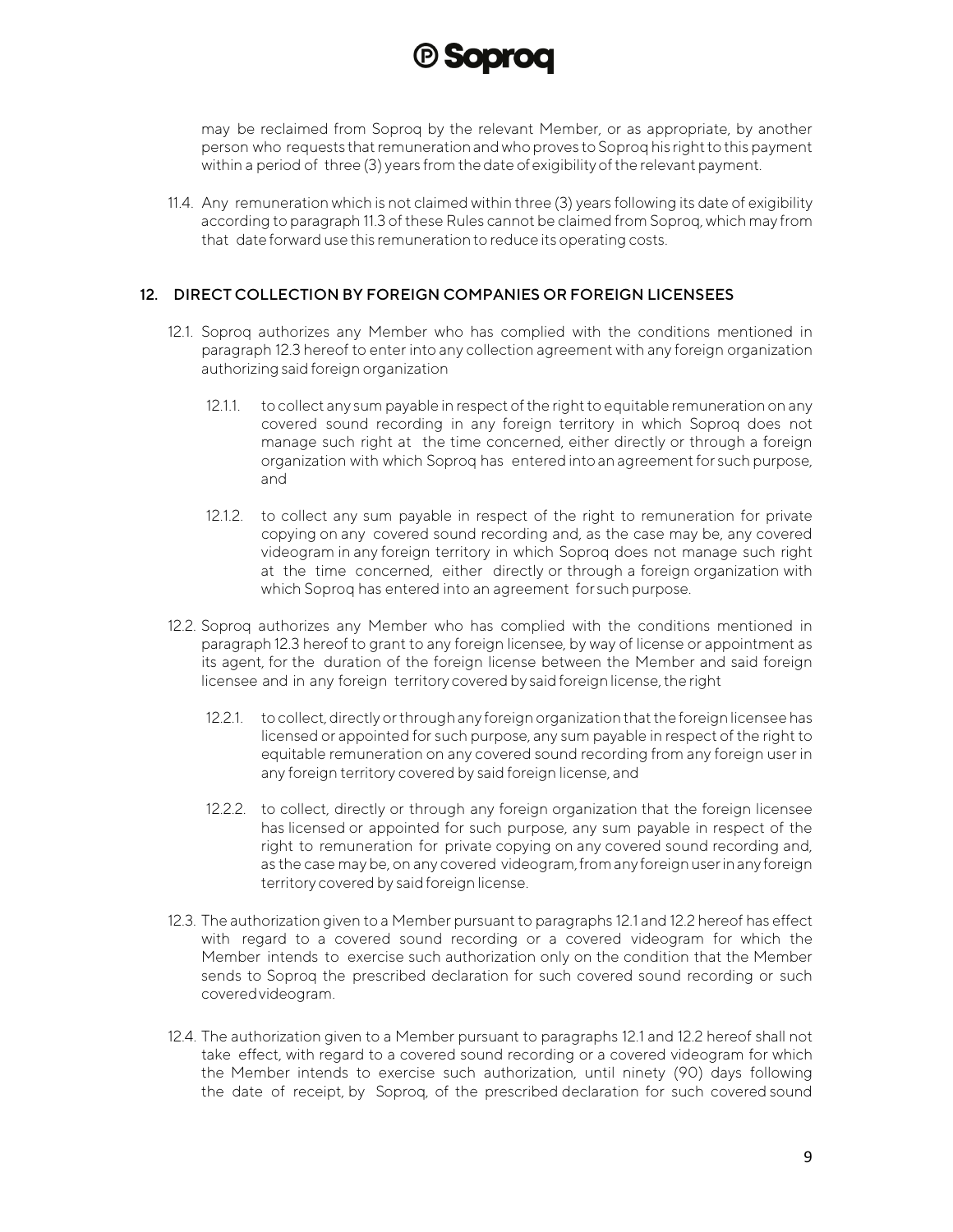

may be reclaimed from Soproq by the relevant Member, or as appropriate, by another person who requests that remuneration and who proves to Soproq his right to this payment within a period of three (3) years from the date of exigibilityofthe relevant payment.

11.4. Any remuneration which is not claimed within three (3) years following its date of exigibility according to paragraph 11.3 of these Rules cannot be claimed from Soproq, which may from that date forward use this remuneration to reduce its operating costs.

#### <span id="page-8-0"></span>12. DIRECT COLLECTION BY FOREIGN COMPANIES OR FOREIGN LICENSEES

- 12.1. Soproq authorizes any Member who has complied with the conditions mentioned in paragraph 12.3 hereof to enter into any collection agreement with any foreign organization authorizing said foreign organization
	- 12.1.1. to collect any sum payable in respect of the right to equitable remuneration on any covered sound recording in any foreign territory in which Soproq does not manage such right at the time concerned, either directly or through a foreign organization with which Soproq has entered into an agreementfor such purpose, and
	- 12.1.2. to collect any sum payable in respect of the right to remuneration for private copying on any covered sound recording and, as the case may be, any covered videogram in any foreign territory in which Soproq does not manage such right at the time concerned, either directly or through a foreign organization with which Soproq has entered into an agreement for such purpose.
- 12.2. Soproq authorizes any Member who has complied with the conditions mentioned in paragraph 12.3 hereof to grant to any foreign licensee, by way of license or appointment as its agent, for the duration of the foreign license between the Member and said foreign licensee and in any foreign territory covered by said foreign license, the right
	- 12.2.1. to collect, directly or through any foreign organization that the foreign licensee has licensed or appointed for such purpose, any sum payable in respect of the right to equitable remuneration on any covered sound recording from any foreign user in any foreign territory covered by said foreign license, and
	- 12.2.2. to collect, directly or through any foreign organization that the foreign licensee has licensed or appointed for such purpose, any sum payable in respect of the right to remuneration for private copying on any covered sound recording and, as the case may be, on any covered videogram, from any foreign user in any foreign territory covered by said foreign license.
- 12.3. The authorization given to a Member pursuant to paragraphs 12.1 and 12.2 hereof has effect with regard to a covered sound recording or a covered videogram for which the Member intends to exercise such authorization only on the condition that the Member sends to Soproq the prescribed declaration for such covered sound recording or such coveredvideogram.
- 12.4. The authorization given to a Member pursuant to paragraphs 12.1 and 12.2 hereof shall not take effect, with regard to a covered sound recording or a covered videogram for which the Member intends to exercise such authorization, until ninety (90) days following the date of receipt, by Soproq, of the prescribed declaration for such covered sound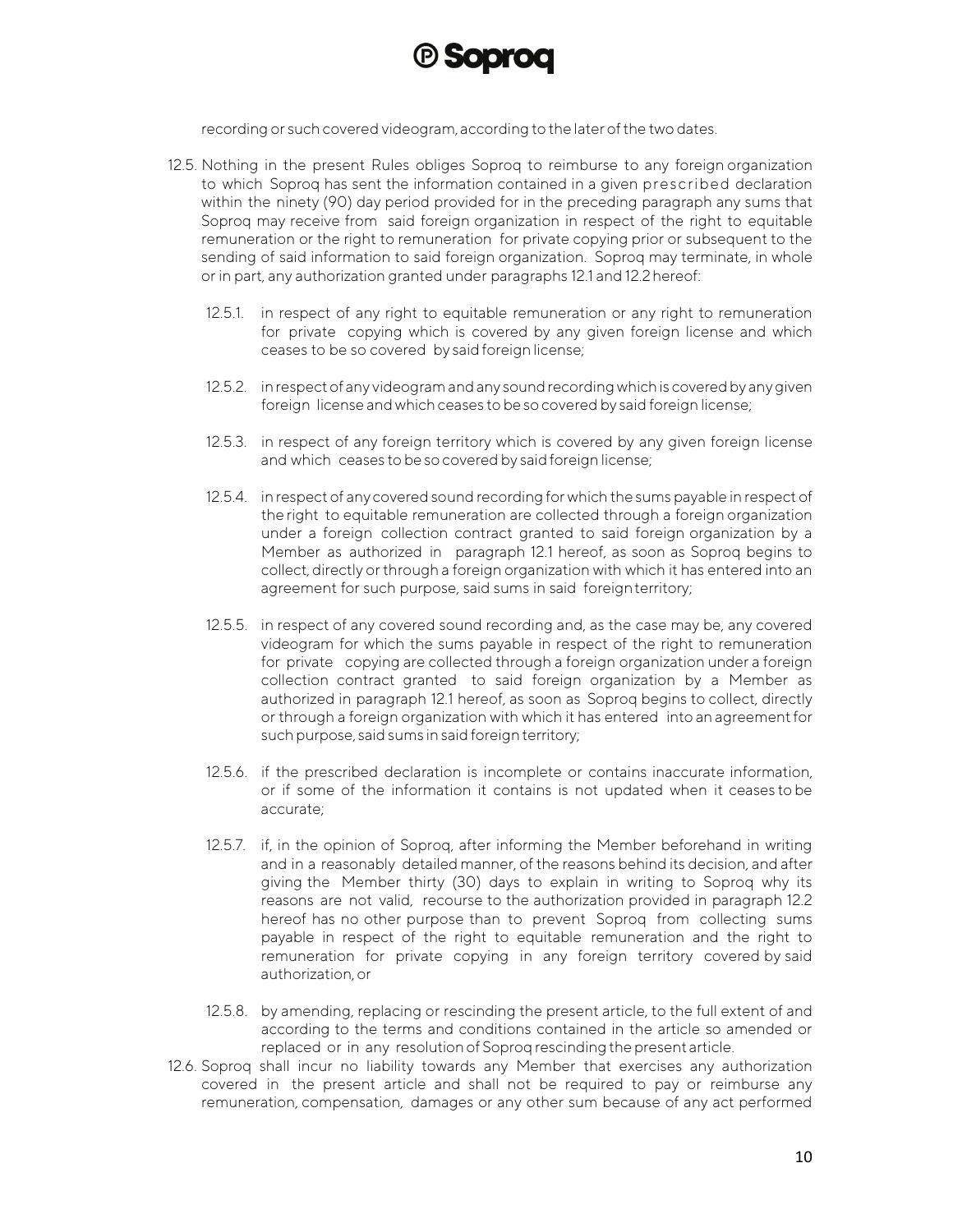

recording or such covered videogram, according to the laterofthe two dates.

- 12.5. Nothing in the present Rules obliges Soproq to reimburse to any foreign organization to which Soproq has sent the information contained in a given prescribed declaration within the ninety (90) day period provided for in the preceding paragraph any sums that Soproq may receive from said foreign organization in respect of the right to equitable remuneration or the right to remuneration for private copying prior or subsequent to the sending of said information to said foreign organization. Soproq may terminate, in whole or in part, any authorization granted under paragraphs 12.1 and 12.2hereof:
	- 12.5.1. in respect of any right to equitable remuneration or any right to remuneration for private copying which is covered by any given foreign license and which ceases to be so covered by saidforeign license;
	- 12.5.2. inrespectof any videogram and any soundrecording whichis coveredby anygiven foreign license and which ceases to be so covered by said foreign license;
	- 12.5.3. in respect of any foreign territory which is covered by any given foreign license and which ceases to be so covered by said foreign license;
	- 12.5.4. in respect of anycovered sound recording for which the sums payable in respect of the right to equitable remuneration are collected through a foreign organization under a foreign collection contract granted to said foreign organization by a Member as authorized in paragraph 12.1 hereof, as soon as Soproq begins to collect, directly or through a foreign organization with which it has entered into an agreement for such purpose, said sums in said foreignterritory;
	- 12.5.5. in respect of any covered sound recording and, as the case may be, any covered videogram for which the sums payable in respect of the right to remuneration for private copying are collected through a foreign organization under a foreign collection contract granted to said foreign organization by a Member as authorized in paragraph 12.1 hereof, as soon as Soproq begins to collect, directly or through a foreign organization with which it has entered into an agreementfor such purpose, said sums in said foreign territory;
	- 12.5.6. if the prescribed declaration is incomplete or contains inaccurate information, or if some of the information it contains is not updated when it ceases to be accurate;
	- 12.5.7. if, in the opinion of Soproq, after informing the Member beforehand in writing and in a reasonably detailed manner, of the reasons behind its decision, and after giving the Member thirty (30) days to explain in writing to Soproq why its reasons are not valid, recourse to the authorization provided in paragraph 12.2 hereof has no other purpose than to prevent Soproq from collecting sums payable in respect of the right to equitable remuneration and the right to remuneration for private copying in any foreign territory covered by said authorization,or
	- 12.5.8. by amending, replacing or rescinding the present article, to the full extent of and according to the terms and conditions contained in the article so amended or replaced or in any resolution of Soproq rescinding the present article.
- 12.6. Soproq shall incur no liability towards any Member that exercises any authorization covered in the present article and shall not be required to pay or reimburse any remuneration, compensation, damages or any other sum because of any act performed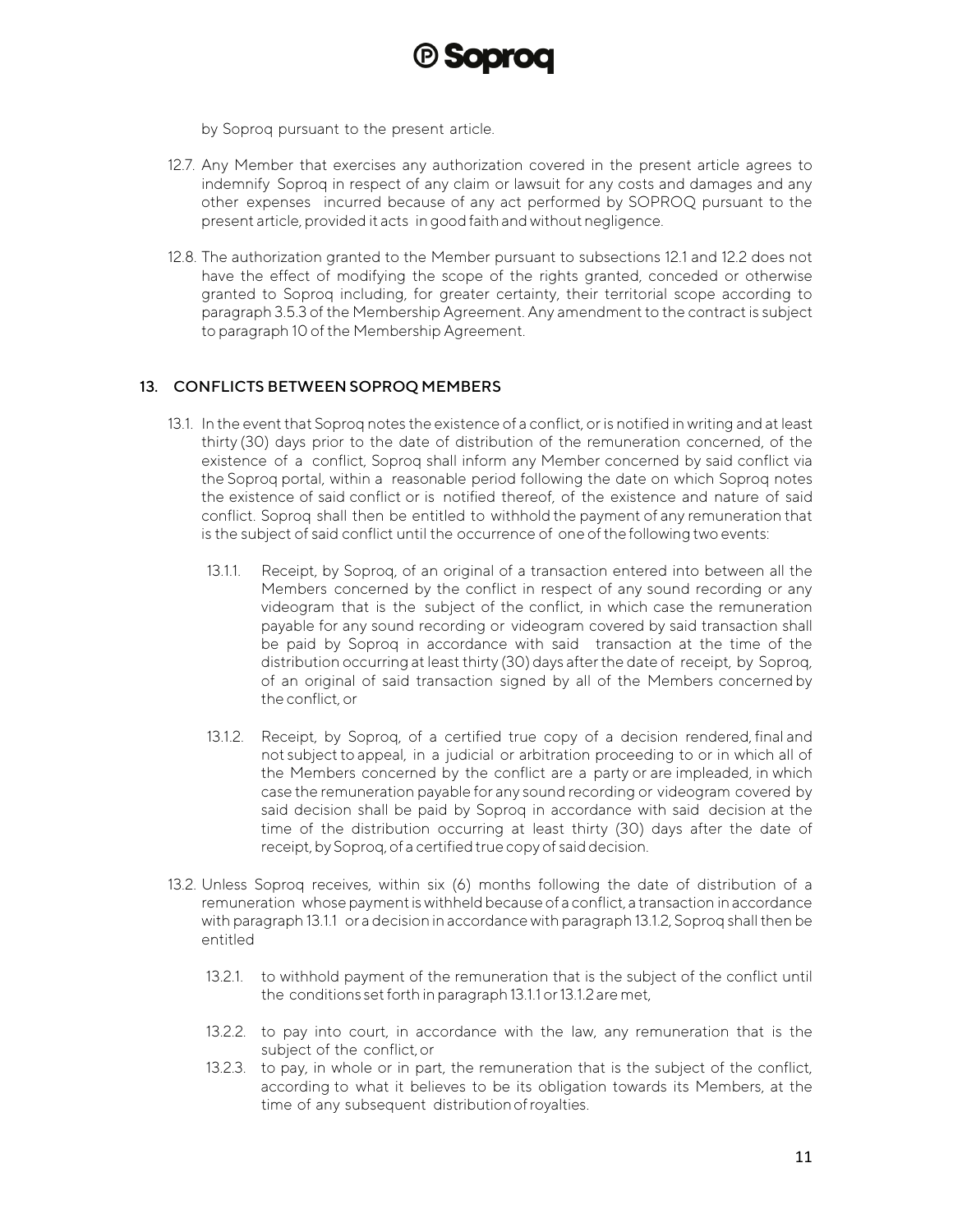

by Soproq pursuant to the present article.

- 12.7. Any Member that exercises any authorization covered in the present article agrees to indemnify Soproq in respect of any claim or lawsuit for any costs and damages and any other expenses incurred because of any act performed by SOPROQ pursuant to the present article, provided it acts in good faith and without negligence.
- 12.8. The authorization granted to the Member pursuant to subsections 12.1 and 12.2 does not have the effect of modifying the scope of the rights granted, conceded or otherwise granted to Soproq including, for greater certainty, their territorial scope according to paragraph 3.5.3 of the Membership Agreement. Any amendment to the contract is subject to paragraph 10 of the Membership Agreement.

#### <span id="page-10-0"></span>13. CONFLICTS BETWEEN SOPROQ MEMBERS

- 13.1. In the event that Soproq notes the existence of a conflict, or is notified in writing and at least thirty (30) days prior to the date of distribution of the remuneration concerned, of the existence of a conflict, Soproq shall inform any Member concerned by said conflict via the Soproq portal, within a reasonable period following the date on which Soproq notes the existence of said conflict or is notified thereof, of the existence and nature of said conflict. Soproq shall then be entitled to withhold the payment of any remuneration that is the subject of said conflict until the occurrence of one ofthe following two events:
	- 13.1.1. Receipt, by Soproq, of an original of a transaction entered into between all the Members concerned by the conflict in respect of any sound recording or any videogram that is the subject of the conflict, in which case the remuneration payable for any sound recording or videogram covered by said transaction shall be paid by Soproq in accordance with said transaction at the time of the distribution occurring at least thirty (30) days afterthe date of receipt, by Soproq, of an original of said transaction signed by all of the Members concerned by the conflict, or
	- 13.1.2. Receipt, by Soproq, of a certified true copy of a decision rendered, final and not subject to appeal, in a judicial or arbitration proceeding to or in which all of the Members concerned by the conflict are a party or are impleaded, in which case the remuneration payable for any sound recording or videogram covered by said decision shall be paid by Soproq in accordance with said decision at the time of the distribution occurring at least thirty (30) days after the date of receipt, by Soproq, of a certified true copy of said decision.
- 13.2. Unless Soproq receives, within six (6) months following the date of distribution of a remuneration whose payment is withheld because of a conflict, a transaction in accordance with paragraph 13.1.1 or a decision in accordance with paragraph 13.1.2, Soprog shall then be entitled
	- 13.2.1. to withhold payment of the remuneration that is the subject of the conflict until the conditions set forth in paragraph 13.1.1 or 13.1.2 are met,
	- 13.2.2. to pay into court, in accordance with the law, any remuneration that is the subject of the conflict,or
	- 13.2.3. to pay, in whole or in part, the remuneration that is the subject of the conflict, according to what it believes to be its obligation towards its Members, at the time of any subsequent distributionofroyalties.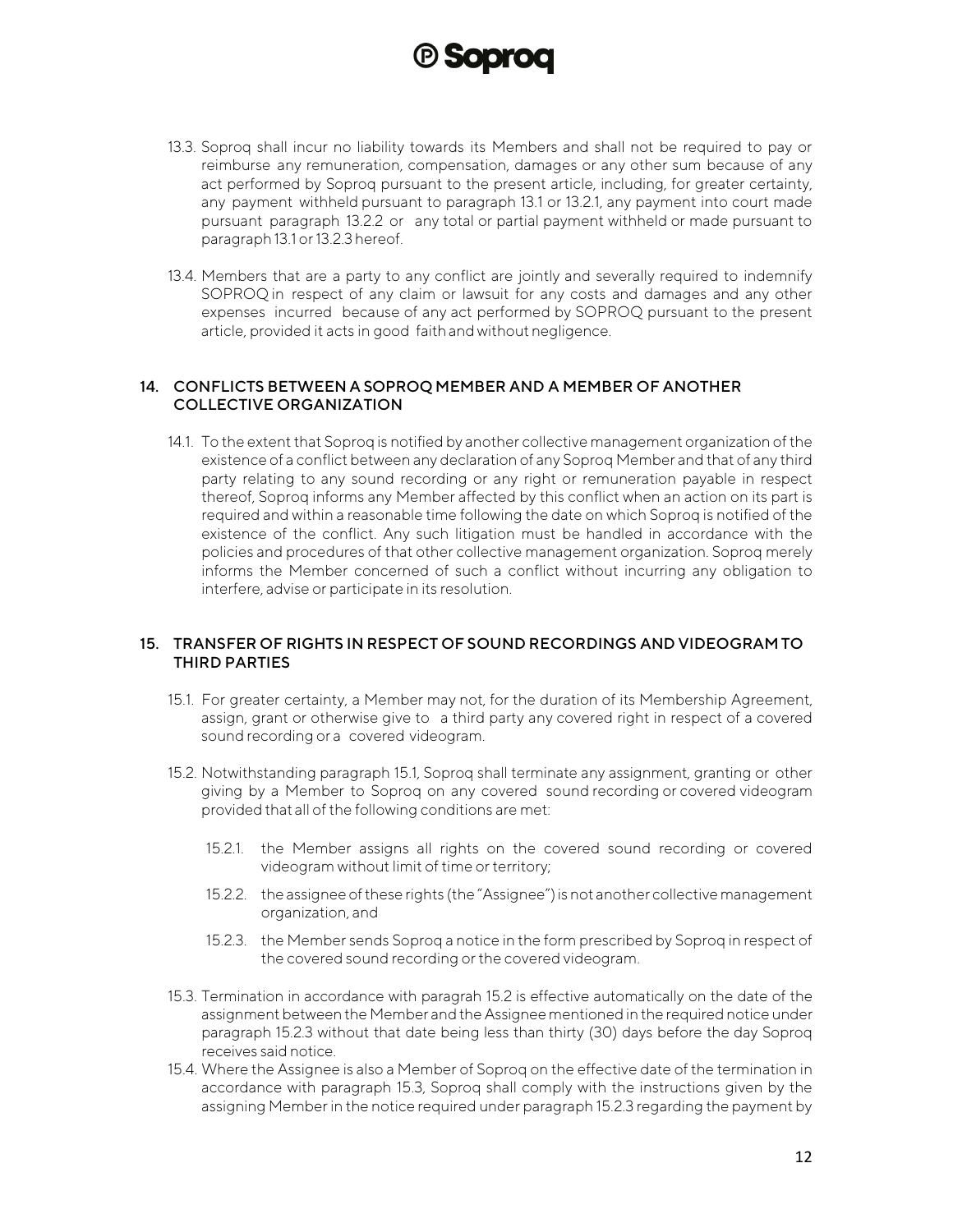

- 13.3. Soproq shall incur no liability towards its Members and shall not be required to pay or reimburse any remuneration, compensation, damages or any other sum because of any act performed by Soproq pursuant to the present article, including, for greater certainty, any payment withheld pursuant to paragraph 13.1 or 13.2.1, any payment into court made pursuant paragraph 13.2.2 or any total or partial payment withheld or made pursuant to paragraph 13.1 or 13.2.3 hereof.
- 13.4. Members that are a party to any conflict are jointly and severally required to indemnify SOPROQ in respect of any claim or lawsuit for any costs and damages and any other expenses incurred because of any act performed by SOPROQ pursuant to the present article, provided it acts in good faithand without negligence.

#### <span id="page-11-0"></span>14. CONFLICTS BETWEEN A SOPROQ MEMBER AND A MEMBER OF ANOTHER COLLECTIVE ORGANIZATION

14.1. To the extent that Soproq is notified by another collective management organization of the existence of a conflict between any declaration of any Soproq Member and that of any third party relating to any sound recording or any right or remuneration payable in respect thereof, Soproq informs any Member affected by this conflict when an action on its part is required and within a reasonable time following the date on which Soproq is notified of the existence of the conflict. Any such litigation must be handled in accordance with the policies and procedures of that other collective management organization. Soproq merely informs the Member concerned of such a conflict without incurring any obligation to interfere, advise or participate in its resolution.

#### <span id="page-11-1"></span>15. TRANSFER OF RIGHTS IN RESPECT OF SOUND RECORDINGS AND VIDEOGRAMTO THIRD PARTIES

- 15.1. For greater certainty, a Member may not, for the duration of its Membership Agreement, assign, grant or otherwise give to a third party any covered right in respect of a covered sound recording or a covered videogram.
- 15.2. Notwithstanding paragraph 15.1, Soproq shall terminate any assignment, granting or other giving by a Member to Soproq on any covered sound recording or covered videogram provided that all of the following conditions are met:
	- 15.2.1. the Member assigns all rights on the covered sound recording or covered videogram without limit of time or territory;
	- 15.2.2. the assignee of these rights (the "Assignee") is not another collective management organization, and
	- 15.2.3. the Member sends Soproq a notice in the form prescribed by Soproq in respect of the covered sound recording or the covered videogram.
- 15.3. Termination in accordance with paragrah 15.2 is effective automatically on the date of the assignment between the Member and the Assignee mentioned in the required notice under paragraph 15.2.3 without that date being less than thirty (30) days before the day Soproq receives said notice.
- 15.4. Where the Assignee is also a Member of Soproq on the effective date of the termination in accordance with paragraph 15.3, Soproq shall comply with the instructions given by the assigning Member in the notice required under paragraph 15.2.3 regarding the payment by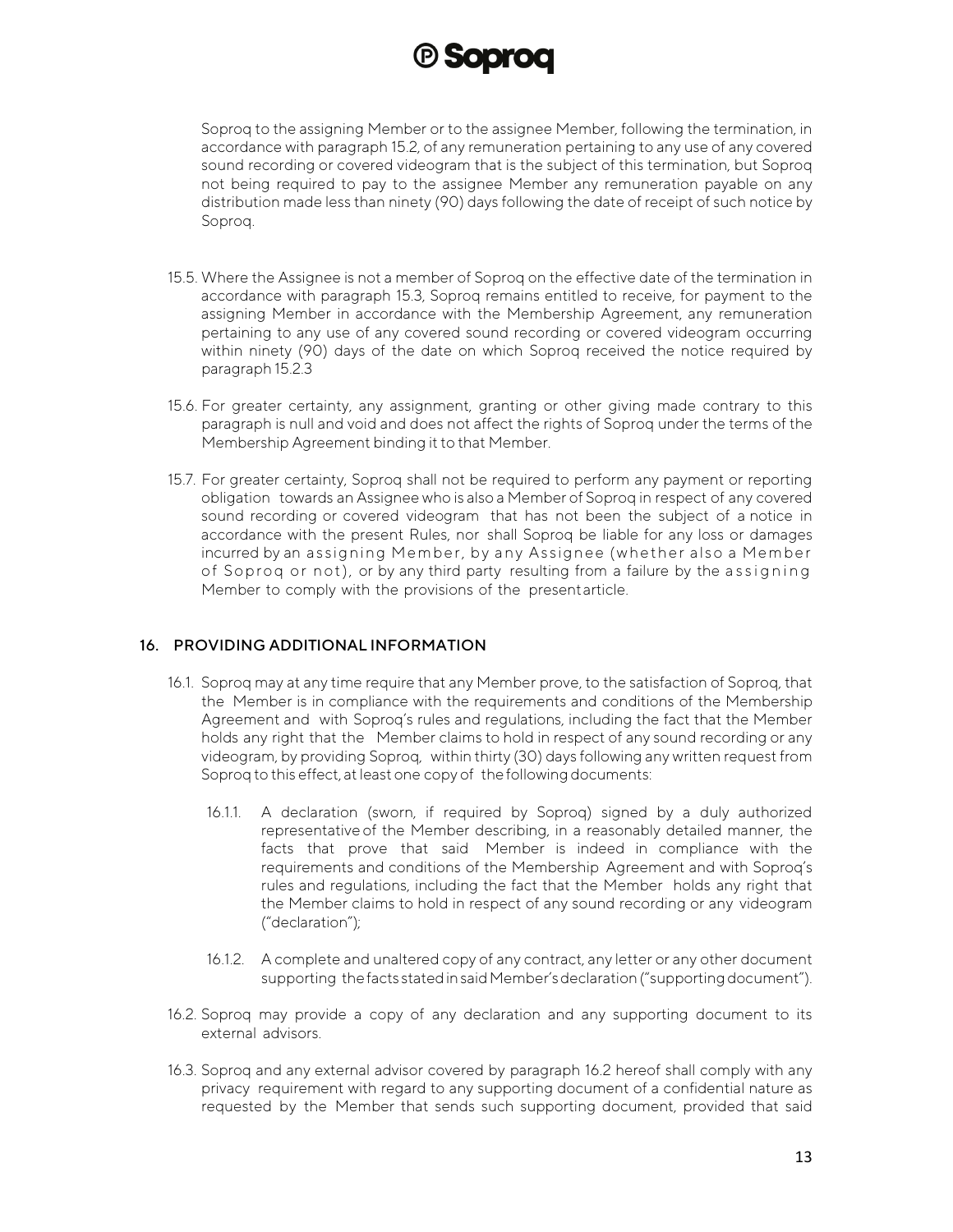

Soproq to the assigning Member or to the assignee Member, following the termination, in accordance with paragraph 15.2, of any remuneration pertaining to any use of any covered sound recording or covered videogram that is the subject of this termination, but Soproq not being required to pay to the assignee Member any remuneration payable on any distribution made less than ninety (90) days following the date of receipt of such notice by Soproq.

- 15.5. Where the Assignee is not a member of Soproq on the effective date of the termination in accordance with paragraph 15.3, Soproq remains entitled to receive, for payment to the assigning Member in accordance with the Membership Agreement, any remuneration pertaining to any use of any covered sound recording or covered videogram occurring within ninety (90) days of the date on which Soproq received the notice required by paragraph 15.2.3
- 15.6. For greater certainty, any assignment, granting or other giving made contrary to this paragraph is null and void and does not affect the rights of Soproq under the terms of the Membership Agreement binding it to that Member.
- 15.7. For greater certainty, Soproq shall not be required to perform any payment or reporting obligation towards an Assignee who is also a Member of Soproq in respect of any covered sound recording or covered videogram that has not been the subject of a notice in accordance with the present Rules, nor shall Soproq be liable for any loss or damages incurred by an assigning Member, by any Assignee (whether also a Member of Soproq or not), or by any third party resulting from a failure by the assigning Member to comply with the provisions of the presentarticle.

#### <span id="page-12-0"></span>16. PROVIDING ADDITIONAL INFORMATION

- 16.1. Soproq may at any time require that any Member prove, to the satisfaction of Soproq, that the Member is in compliance with the requirements and conditions of the Membership Agreement and with Soproq's rules and regulations, including the fact that the Member holds any right that the Member claims to hold in respect of any sound recording or any videogram, by providing Soproq, within thirty (30) days following any written request from Soproq to this effect, at least one copy of the following documents:
	- 16.1.1. A declaration (sworn, if required by Soproq) signed by a duly authorized representative of the Member describing, in a reasonably detailed manner, the facts that prove that said Member is indeed in compliance with the requirements and conditions of the Membership Agreement and with Soproq's rules and regulations, including the fact that the Member holds any right that the Member claims to hold in respect of any sound recording or any videogram ("declaration");
	- 16.1.2. A complete and unaltered copy of any contract, any letter or any other document supporting the facts stated in said Member's declaration ("supporting document").
- 16.2. Soproq may provide a copy of any declaration and any supporting document to its external advisors.
- 16.3. Soproq and any external advisor covered by paragraph 16.2 hereof shall comply with any privacy requirement with regard to any supporting document of a confidential nature as requested by the Member that sends such supporting document, provided that said